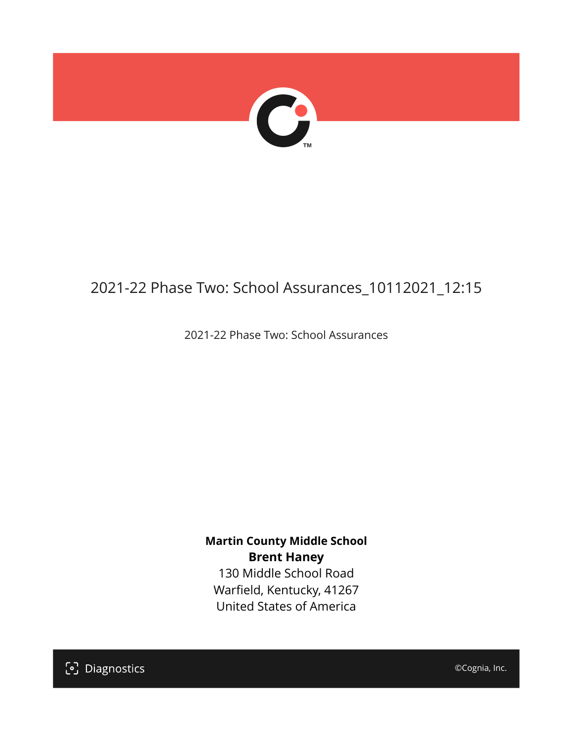

# 2021-22 Phase Two: School Assurances\_10112021\_12:15

2021-22 Phase Two: School Assurances

**Martin County Middle School Brent Haney** 130 Middle School Road Warfield, Kentucky, 41267

United States of America

[၁] Diagnostics

©Cognia, Inc.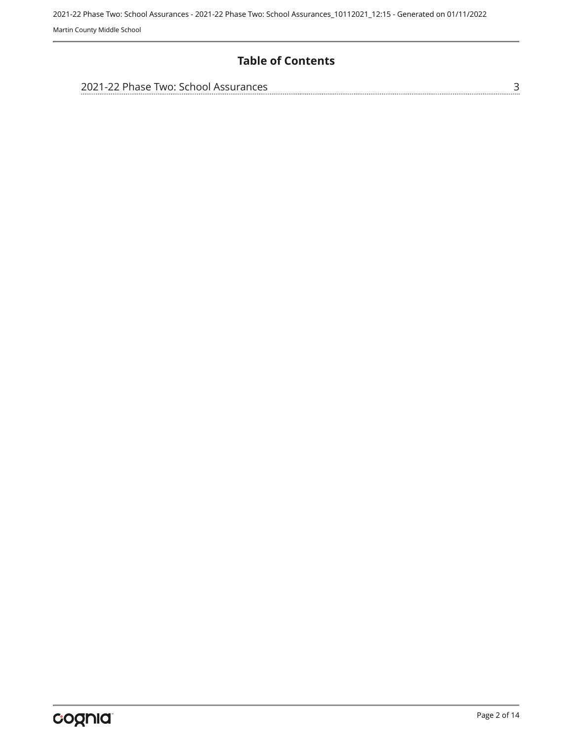## **Table of Contents**

| 2021-22 Phase Two: School Assurances |  |
|--------------------------------------|--|
|                                      |  |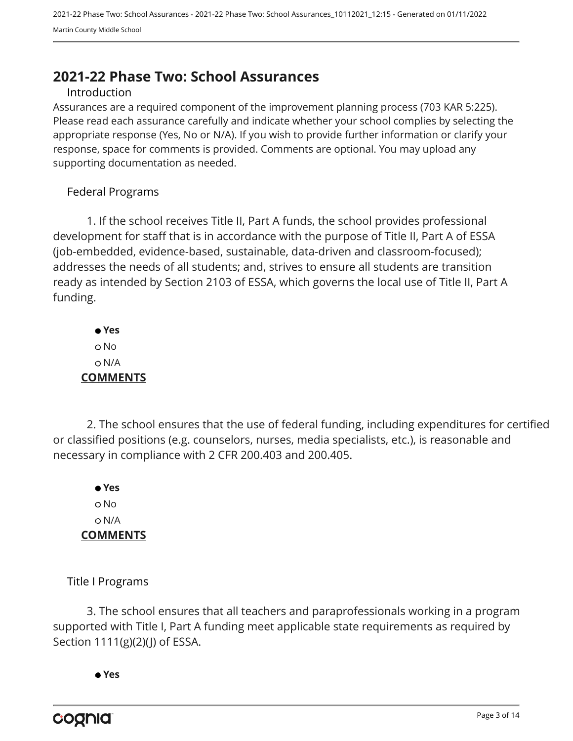# <span id="page-2-0"></span>**2021-22 Phase Two: School Assurances**

#### Introduction

Assurances are a required component of the improvement planning process (703 KAR 5:225). Please read each assurance carefully and indicate whether your school complies by selecting the appropriate response (Yes, No or N/A). If you wish to provide further information or clarify your response, space for comments is provided. Comments are optional. You may upload any supporting documentation as needed.

#### Federal Programs

1. If the school receives Title II, Part A funds, the school provides professional development for staff that is in accordance with the purpose of Title II, Part A of ESSA (job-embedded, evidence-based, sustainable, data-driven and classroom-focused); addresses the needs of all students; and, strives to ensure all students are transition ready as intended by Section 2103 of ESSA, which governs the local use of Title II, Part A funding.

 **Yes** o No N/A **COMMENTS**

2. The school ensures that the use of federal funding, including expenditures for certified or classified positions (e.g. counselors, nurses, media specialists, etc.), is reasonable and necessary in compliance with 2 CFR 200.403 and 200.405.

 **Yes** o No N/A **COMMENTS**

Title I Programs

3. The school ensures that all teachers and paraprofessionals working in a program supported with Title I, Part A funding meet applicable state requirements as required by Section 1111(g)(2)(J) of ESSA.

 **Yes**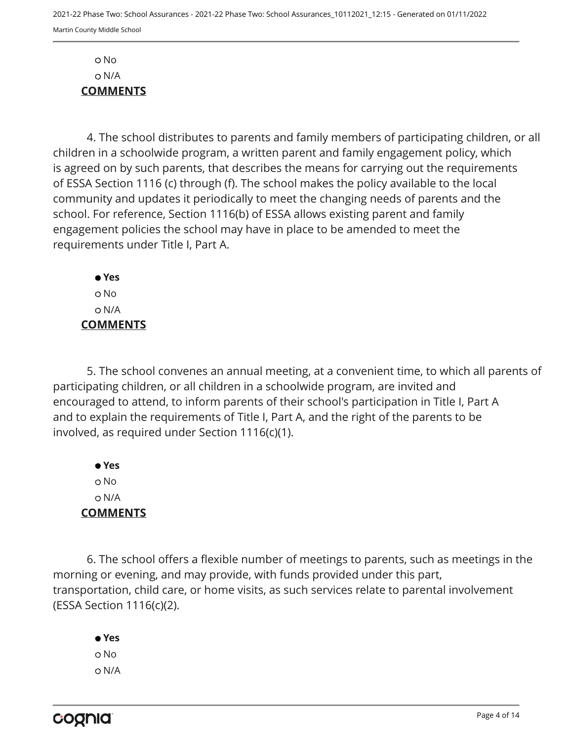No N/A **COMMENTS**

4. The school distributes to parents and family members of participating children, or all children in a schoolwide program, a written parent and family engagement policy, which is agreed on by such parents, that describes the means for carrying out the requirements of ESSA Section 1116 (c) through (f). The school makes the policy available to the local community and updates it periodically to meet the changing needs of parents and the school. For reference, Section 1116(b) of ESSA allows existing parent and family engagement policies the school may have in place to be amended to meet the requirements under Title I, Part A.

 **Yes** No N/A **COMMENTS**

5. The school convenes an annual meeting, at a convenient time, to which all parents of participating children, or all children in a schoolwide program, are invited and encouraged to attend, to inform parents of their school's participation in Title I, Part A and to explain the requirements of Title I, Part A, and the right of the parents to be involved, as required under Section 1116(c)(1).

 **Yes** o No N/A **COMMENTS**

6. The school offers a flexible number of meetings to parents, such as meetings in the morning or evening, and may provide, with funds provided under this part, transportation, child care, or home visits, as such services relate to parental involvement (ESSA Section 1116(c)(2).

 **Yes** o No N/A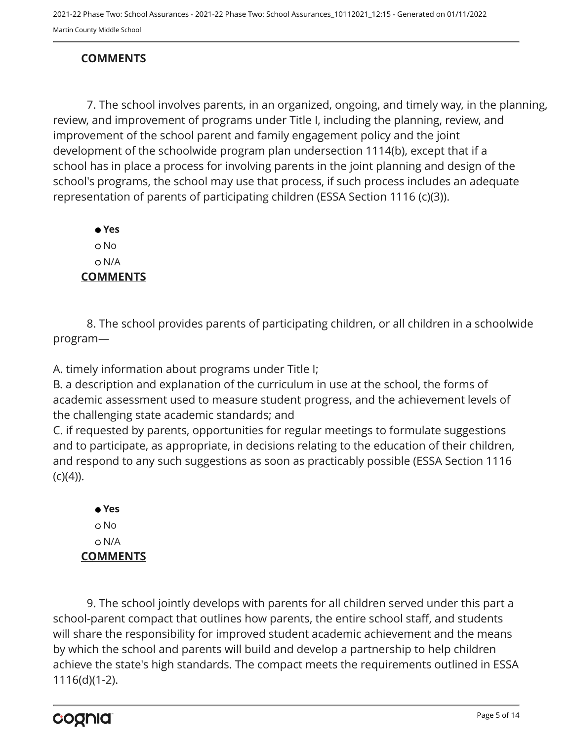2021-22 Phase Two: School Assurances - 2021-22 Phase Two: School Assurances\_10112021\_12:15 - Generated on 01/11/2022 Martin County Middle School

## **COMMENTS**

7. The school involves parents, in an organized, ongoing, and timely way, in the planning, review, and improvement of programs under Title I, including the planning, review, and improvement of the school parent and family engagement policy and the joint development of the schoolwide program plan undersection 1114(b), except that if a school has in place a process for involving parents in the joint planning and design of the school's programs, the school may use that process, if such process includes an adequate representation of parents of participating children (ESSA Section 1116 (c)(3)).

 **Yes** o No N/A **COMMENTS**

8. The school provides parents of participating children, or all children in a schoolwide program—

A. timely information about programs under Title I;

B. a description and explanation of the curriculum in use at the school, the forms of academic assessment used to measure student progress, and the achievement levels of the challenging state academic standards; and

C. if requested by parents, opportunities for regular meetings to formulate suggestions and to participate, as appropriate, in decisions relating to the education of their children, and respond to any such suggestions as soon as practicably possible (ESSA Section 1116  $(c)(4)$ ).

 **Yes** o No N/A **COMMENTS**

9. The school jointly develops with parents for all children served under this part a school-parent compact that outlines how parents, the entire school staff, and students will share the responsibility for improved student academic achievement and the means by which the school and parents will build and develop a partnership to help children achieve the state's high standards. The compact meets the requirements outlined in ESSA 1116(d)(1-2).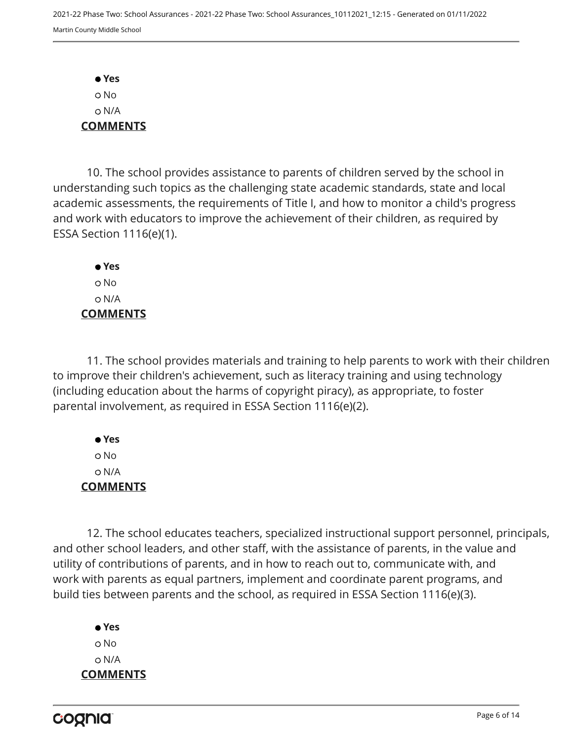**Yes** No N/A **COMMENTS**

10. The school provides assistance to parents of children served by the school in understanding such topics as the challenging state academic standards, state and local academic assessments, the requirements of Title I, and how to monitor a child's progress and work with educators to improve the achievement of their children, as required by ESSA Section 1116(e)(1).

 **Yes** o No N/A **COMMENTS**

11. The school provides materials and training to help parents to work with their children to improve their children's achievement, such as literacy training and using technology (including education about the harms of copyright piracy), as appropriate, to foster parental involvement, as required in ESSA Section 1116(e)(2).

 **Yes** No N/A **COMMENTS**

12. The school educates teachers, specialized instructional support personnel, principals, and other school leaders, and other staff, with the assistance of parents, in the value and utility of contributions of parents, and in how to reach out to, communicate with, and work with parents as equal partners, implement and coordinate parent programs, and build ties between parents and the school, as required in ESSA Section 1116(e)(3).

 **Yes** o No N/A **COMMENTS**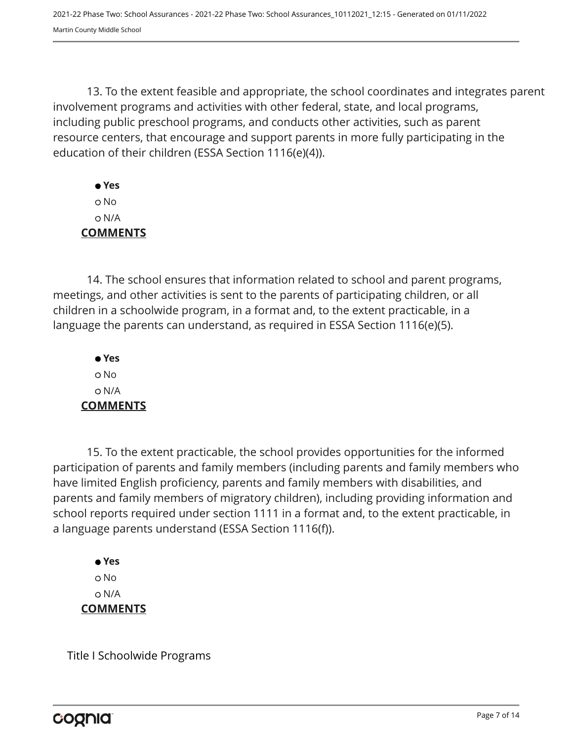13. To the extent feasible and appropriate, the school coordinates and integrates parent involvement programs and activities with other federal, state, and local programs, including public preschool programs, and conducts other activities, such as parent resource centers, that encourage and support parents in more fully participating in the education of their children (ESSA Section 1116(e)(4)).

 **Yes** No N/A **COMMENTS**

14. The school ensures that information related to school and parent programs, meetings, and other activities is sent to the parents of participating children, or all children in a schoolwide program, in a format and, to the extent practicable, in a language the parents can understand, as required in ESSA Section 1116(e)(5).

 **Yes** o No N/A **COMMENTS**

15. To the extent practicable, the school provides opportunities for the informed participation of parents and family members (including parents and family members who have limited English proficiency, parents and family members with disabilities, and parents and family members of migratory children), including providing information and school reports required under section 1111 in a format and, to the extent practicable, in a language parents understand (ESSA Section 1116(f)).

 **Yes** o No N/A **COMMENTS**

Title I Schoolwide Programs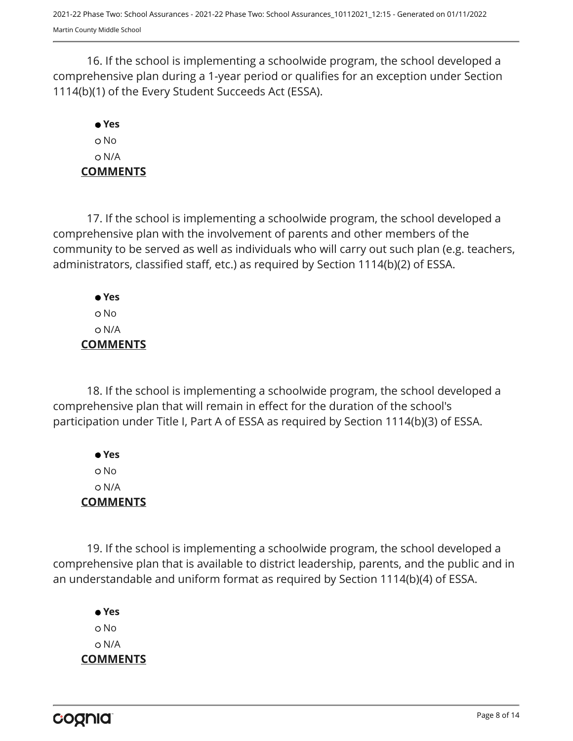16. If the school is implementing a schoolwide program, the school developed a comprehensive plan during a 1-year period or qualifies for an exception under Section 1114(b)(1) of the Every Student Succeeds Act (ESSA).

# **Yes** No N/A **COMMENTS**

17. If the school is implementing a schoolwide program, the school developed a comprehensive plan with the involvement of parents and other members of the community to be served as well as individuals who will carry out such plan (e.g. teachers, administrators, classified staff, etc.) as required by Section 1114(b)(2) of ESSA.

 **Yes** No N/A **COMMENTS**

18. If the school is implementing a schoolwide program, the school developed a comprehensive plan that will remain in effect for the duration of the school's participation under Title I, Part A of ESSA as required by Section 1114(b)(3) of ESSA.

 **Yes** No N/A **COMMENTS**

19. If the school is implementing a schoolwide program, the school developed a comprehensive plan that is available to district leadership, parents, and the public and in an understandable and uniform format as required by Section 1114(b)(4) of ESSA.

 **Yes** o No N/A **COMMENTS**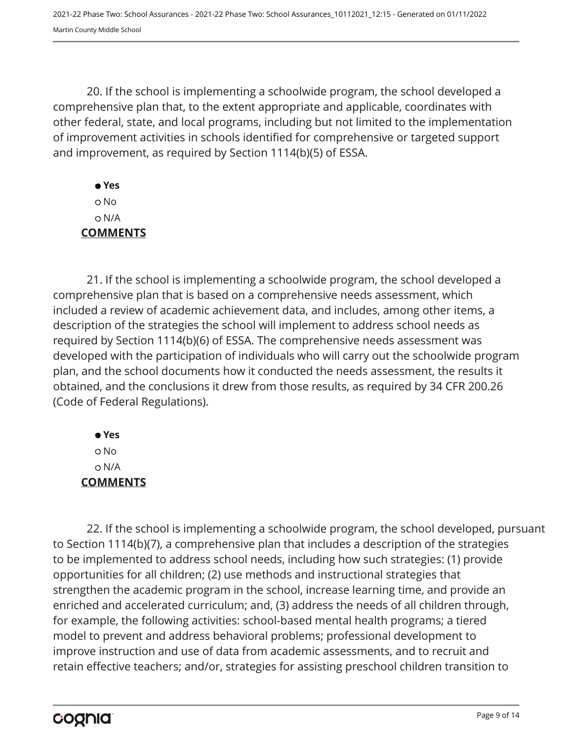20. If the school is implementing a schoolwide program, the school developed a comprehensive plan that, to the extent appropriate and applicable, coordinates with other federal, state, and local programs, including but not limited to the implementation of improvement activities in schools identified for comprehensive or targeted support and improvement, as required by Section 1114(b)(5) of ESSA.

 **Yes** No N/A **COMMENTS**

21. If the school is implementing a schoolwide program, the school developed a comprehensive plan that is based on a comprehensive needs assessment, which included a review of academic achievement data, and includes, among other items, a description of the strategies the school will implement to address school needs as required by Section 1114(b)(6) of ESSA. The comprehensive needs assessment was developed with the participation of individuals who will carry out the schoolwide program plan, and the school documents how it conducted the needs assessment, the results it obtained, and the conclusions it drew from those results, as required by 34 CFR 200.26 (Code of Federal Regulations).

 **Yes** No N/A **COMMENTS**

22. If the school is implementing a schoolwide program, the school developed, pursuant to Section 1114(b)(7), a comprehensive plan that includes a description of the strategies to be implemented to address school needs, including how such strategies: (1) provide opportunities for all children; (2) use methods and instructional strategies that strengthen the academic program in the school, increase learning time, and provide an enriched and accelerated curriculum; and, (3) address the needs of all children through, for example, the following activities: school-based mental health programs; a tiered model to prevent and address behavioral problems; professional development to improve instruction and use of data from academic assessments, and to recruit and retain effective teachers; and/or, strategies for assisting preschool children transition to

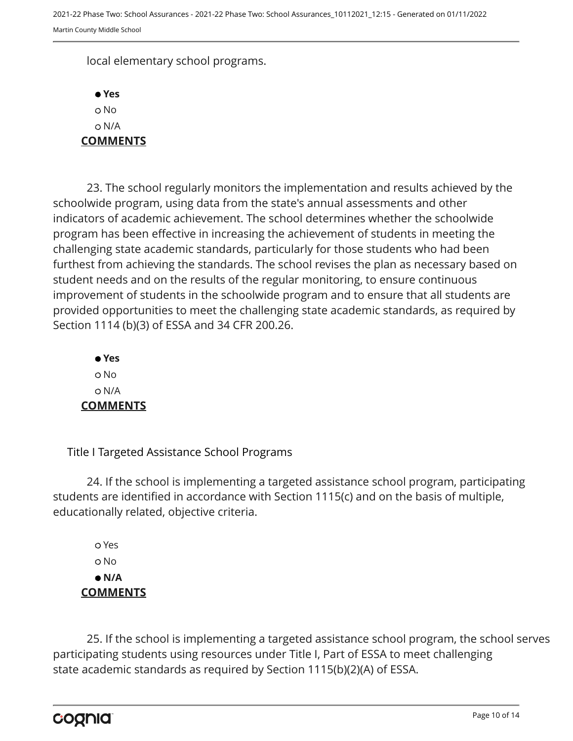local elementary school programs.

 **Yes** o No N/A **COMMENTS**

23. The school regularly monitors the implementation and results achieved by the schoolwide program, using data from the state's annual assessments and other indicators of academic achievement. The school determines whether the schoolwide program has been effective in increasing the achievement of students in meeting the challenging state academic standards, particularly for those students who had been furthest from achieving the standards. The school revises the plan as necessary based on student needs and on the results of the regular monitoring, to ensure continuous improvement of students in the schoolwide program and to ensure that all students are provided opportunities to meet the challenging state academic standards, as required by Section 1114 (b)(3) of ESSA and 34 CFR 200.26.

 **Yes** o No N/A **COMMENTS**

Title I Targeted Assistance School Programs

24. If the school is implementing a targeted assistance school program, participating students are identified in accordance with Section 1115(c) and on the basis of multiple, educationally related, objective criteria.

 Yes o No  **N/A COMMENTS**

25. If the school is implementing a targeted assistance school program, the school serves participating students using resources under Title I, Part of ESSA to meet challenging state academic standards as required by Section 1115(b)(2)(A) of ESSA.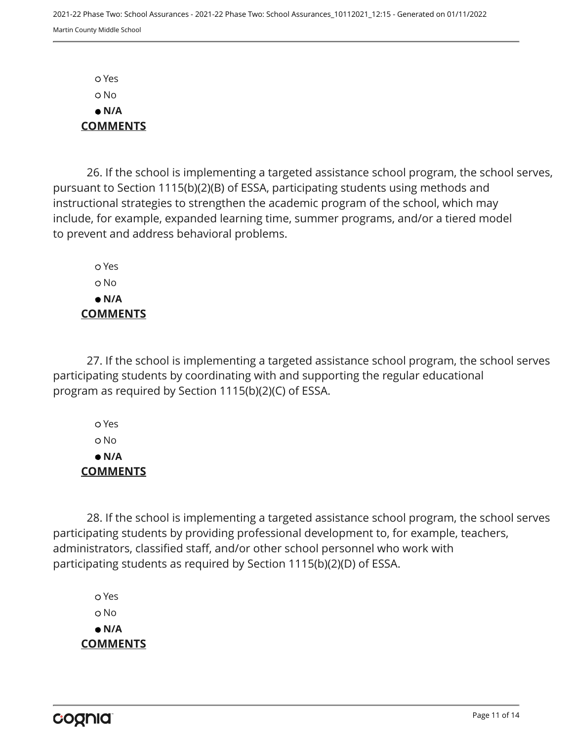Yes No  **N/A COMMENTS**

26. If the school is implementing a targeted assistance school program, the school serves, pursuant to Section 1115(b)(2)(B) of ESSA, participating students using methods and instructional strategies to strengthen the academic program of the school, which may include, for example, expanded learning time, summer programs, and/or a tiered model to prevent and address behavioral problems.

 Yes o No  **N/A COMMENTS**

27. If the school is implementing a targeted assistance school program, the school serves participating students by coordinating with and supporting the regular educational program as required by Section 1115(b)(2)(C) of ESSA.

 Yes No  **N/A COMMENTS**

28. If the school is implementing a targeted assistance school program, the school serves participating students by providing professional development to, for example, teachers, administrators, classified staff, and/or other school personnel who work with participating students as required by Section 1115(b)(2)(D) of ESSA.

 Yes o No  **N/A COMMENTS**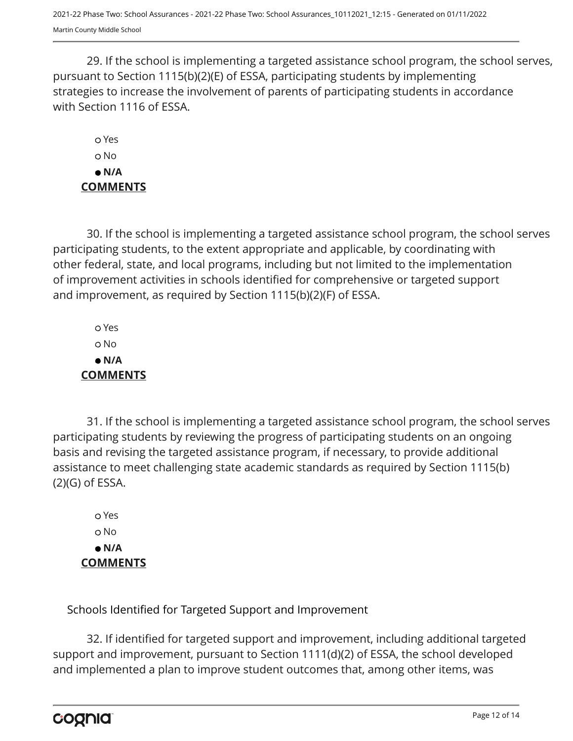29. If the school is implementing a targeted assistance school program, the school serves, pursuant to Section 1115(b)(2)(E) of ESSA, participating students by implementing strategies to increase the involvement of parents of participating students in accordance with Section 1116 of ESSA.

 Yes o No  **N/A COMMENTS**

30. If the school is implementing a targeted assistance school program, the school serves participating students, to the extent appropriate and applicable, by coordinating with other federal, state, and local programs, including but not limited to the implementation of improvement activities in schools identified for comprehensive or targeted support and improvement, as required by Section 1115(b)(2)(F) of ESSA.

 Yes No  **N/A COMMENTS**

31. If the school is implementing a targeted assistance school program, the school serves participating students by reviewing the progress of participating students on an ongoing basis and revising the targeted assistance program, if necessary, to provide additional assistance to meet challenging state academic standards as required by Section 1115(b) (2)(G) of ESSA.

 Yes o No  **N/A COMMENTS**

Schools Identified for Targeted Support and Improvement

32. If identified for targeted support and improvement, including additional targeted support and improvement, pursuant to Section 1111(d)(2) of ESSA, the school developed and implemented a plan to improve student outcomes that, among other items, was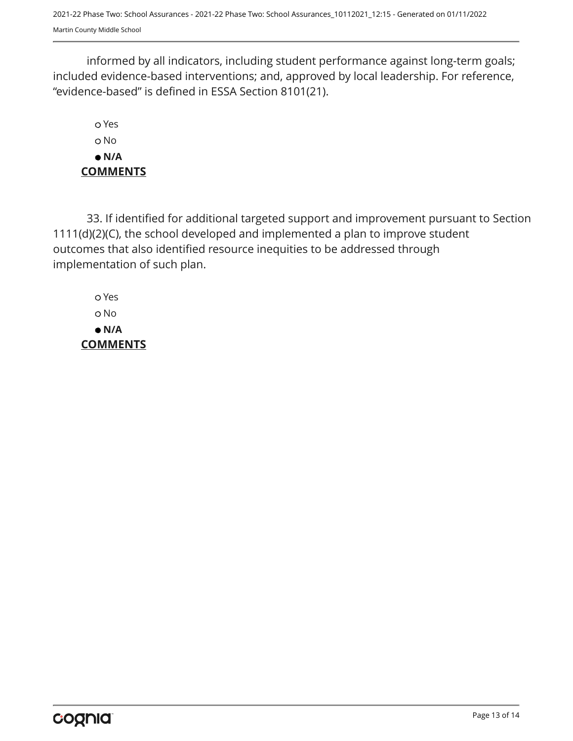2021-22 Phase Two: School Assurances - 2021-22 Phase Two: School Assurances\_10112021\_12:15 - Generated on 01/11/2022 Martin County Middle School

informed by all indicators, including student performance against long-term goals; included evidence-based interventions; and, approved by local leadership. For reference, "evidence-based" is defined in ESSA Section 8101(21).

 Yes o No  **N/A COMMENTS**

33. If identified for additional targeted support and improvement pursuant to Section 1111(d)(2)(C), the school developed and implemented a plan to improve student outcomes that also identified resource inequities to be addressed through implementation of such plan.

 Yes No  **N/A COMMENTS**